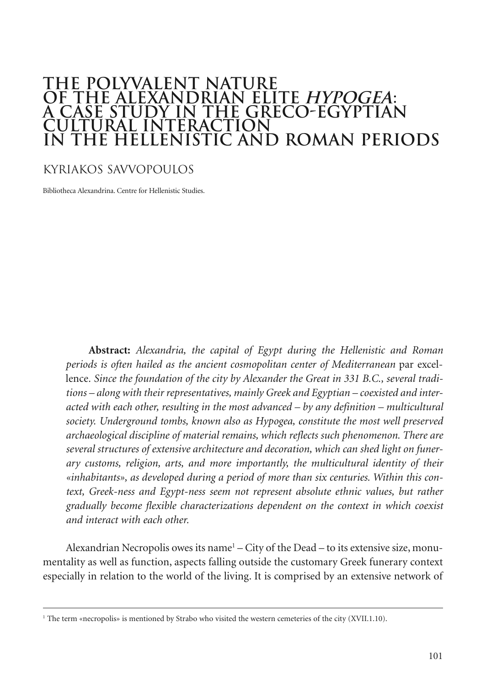## **THE POLYVALENT NATURE OF THE ALEXANDRIAN ELITE HYPOGEA: HYPOGEA A CASE STUDY IN THE GRECO-EGYPTIAN CULTURAL INTERACTION IN THE HELLENISTIC AND ROMAN PERIODS**

#### KYRIAKOS SAVVOPOULOS

Bibliotheca Alexandrina. Centre for Hellenistic Studies.

**Abstract:** *Alexandria, the capital of Egypt during the Hellenistic and Roman periods is often hailed as the ancient cosmopolitan center of Mediterranean* par excellence*. Since the foundation of the city by Alexander the Great in 331 B.C., several traditions – along with their representatives, mainly Greek and Egyptian – coexisted and interacted with each other, resulting in the most advanced – by any definition – multicultural society. Underground tombs, known also as Hypogea, constitute the most well preserved archaeological discipline of material remains, which reflects such phenomenon. There are several structures of extensive architecture and decoration, which can shed light on funerary customs, religion, arts, and more importantly, the multicultural identity of their «inhabitants», as developed during a period of more than six centuries. Within this context, Greek-ness and Egypt-ness seem not represent absolute ethnic values, but rather gradually become flexible characterizations dependent on the context in which coexist and interact with each other.*

Alexandrian Necropolis owes its name<sup>1</sup> – City of the Dead – to its extensive size, monumentality as well as function, aspects falling outside the customary Greek funerary context especially in relation to the world of the living. It is comprised by an extensive network of

<sup>&</sup>lt;sup>1</sup> The term «necropolis» is mentioned by Strabo who visited the western cemeteries of the city (XVII.1.10).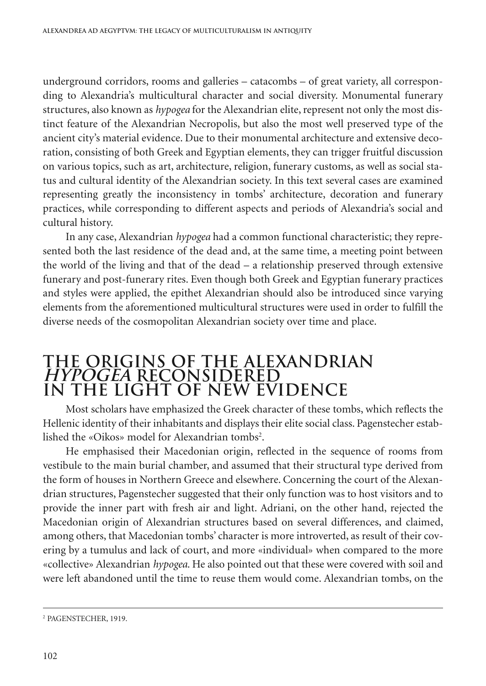underground corridors, rooms and galleries – catacombs – of great variety, all corresponding to Alexandria's multicultural character and social diversity. Monumental funerary structures, also known as *hypogea* for the Alexandrian elite, represent not only the most distinct feature of the Alexandrian Necropolis, but also the most well preserved type of the ancient city's material evidence. Due to their monumental architecture and extensive decoration, consisting of both Greek and Egyptian elements, they can trigger fruitful discussion on various topics, such as art, architecture, religion, funerary customs, as well as social status and cultural identity of the Alexandrian society. In this text several cases are examined representing greatly the inconsistency in tombs' architecture, decoration and funerary practices, while corresponding to different aspects and periods of Alexandria's social and cultural history.

In any case, Alexandrian *hypogea* had a common functional characteristic; they represented both the last residence of the dead and, at the same time, a meeting point between the world of the living and that of the dead – a relationship preserved through extensive funerary and post-funerary rites. Even though both Greek and Egyptian funerary practices and styles were applied, the epithet Alexandrian should also be introduced since varying elements from the aforementioned multicultural structures were used in order to fulfill the diverse needs of the cosmopolitan Alexandrian society over time and place.

## **THE ORIGINS OF THE ALEXANDRIAN HYPOGEA RECONSIDERED HYPOGEA IN THE LIGHT OF NEW EVIDENCE**

Most scholars have emphasized the Greek character of these tombs, which reflects the Hellenic identity of their inhabitants and displays their elite social class. Pagenstecher established the «Oikos» model for Alexandrian tombs2 .

He emphasised their Macedonian origin, reflected in the sequence of rooms from vestibule to the main burial chamber, and assumed that their structural type derived from the form of houses in Northern Greece and elsewhere. Concerning the court of the Alexandrian structures, Pagenstecher suggested that their only function was to host visitors and to provide the inner part with fresh air and light. Adriani, on the other hand, rejected the Macedonian origin of Alexandrian structures based on several differences, and claimed, among others, that Macedonian tombs' character is more introverted, as result of their covering by a tumulus and lack of court, and more «individual» when compared to the more «collective» Alexandrian *hypogea*. He also pointed out that these were covered with soil and were left abandoned until the time to reuse them would come. Alexandrian tombs, on the

<sup>2</sup> PAGENSTECHER, 1919.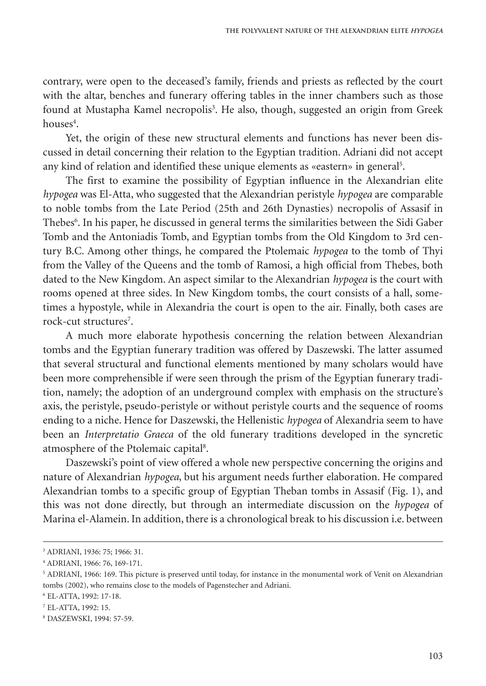contrary, were open to the deceased's family, friends and priests as reflected by the court with the altar, benches and funerary offering tables in the inner chambers such as those found at Mustapha Kamel necropolis<sup>3</sup>. He also, though, suggested an origin from Greek houses<sup>4</sup>.

Yet, the origin of these new structural elements and functions has never been discussed in detail concerning their relation to the Egyptian tradition. Adriani did not accept any kind of relation and identified these unique elements as «eastern» in general 5 .

The first to examine the possibility of Egyptian influence in the Alexandrian elite *hypogea* was El-Atta, who suggested that the Alexandrian peristyle *hypogea* are comparable to noble tombs from the Late Period (25th and 26th Dynasties) necropolis of Assasif in Thebes<sup>6</sup>. In his paper, he discussed in general terms the similarities between the Sidi Gaber Tomb and the Antoniadis Tomb, and Egyptian tombs from the Old Kingdom to 3rd century B.C. Among other things, he compared the Ptolemaic *hypogea* to the tomb of Thyi from the Valley of the Queens and the tomb of Ramosi, a high official from Thebes, both dated to the New Kingdom. An aspect similar to the Alexandrian *hypogea* is the court with rooms opened at three sides. In New Kingdom tombs, the court consists of a hall, sometimes a hypostyle, while in Alexandria the court is open to the air. Finally, both cases are rock-cut structures<sup>7</sup>.

A much more elaborate hypothesis concerning the relation between Alexandrian tombs and the Egyptian funerary tradition was offered by Daszewski. The latter assumed that several structural and functional elements mentioned by many scholars would have been more comprehensible if were seen through the prism of the Egyptian funerary tradition, namely; the adoption of an underground complex with emphasis on the structure's axis, the peristyle, pseudo-peristyle or without peristyle courts and the sequence of rooms ending to a niche. Hence for Daszewski, the Hellenistic *hypogea* of Alexandria seem to have been an *Interpretatio Graeca* of the old funerary traditions developed in the syncretic atmosphere of the Ptolemaic capital<sup>8</sup>.

Daszewski's point of view offered a whole new perspective concerning the origins and nature of Alexandrian *hypogea*, but his argument needs further elaboration. He compared Alexandrian tombs to a specific group of Egyptian Theban tombs in Assasif (Fig. 1), and this was not done directly, but through an intermediate discussion on the *hypogea* of Marina el-Alamein. In addition, there is a chronological break to his discussion i.e. between

<sup>3</sup> ADRIANI, 1936: 75; 1966: 31.

<sup>4</sup> ADRIANI, 1966: 76, 169-171.

<sup>5</sup> ADRIANI, 1966: 169. This picture is preserved until today, for instance in the monumental work of Venit on Alexandrian tombs (2002), who remains close to the models of Pagenstecher and Adriani.

<sup>6</sup> EL-ATTA, 1992: 17-18.

<sup>7</sup> EL-ATTA, 1992: 15.

<sup>8</sup> DASZEWSKI, 1994: 57-59.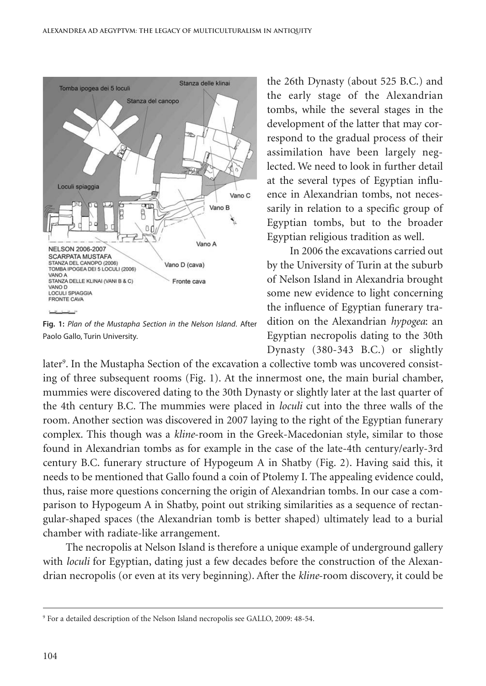

**Fig. 1:** *Plan of the Mustapha Section in the Nelson Island*. After Paolo Gallo, Turin University.

the 26th Dynasty (about 525 B.C.) and the early stage of the Alexandrian tombs, while the several stages in the development of the latter that may correspond to the gradual process of their assimilation have been largely neglected. We need to look in further detail at the several types of Egyptian influence in Alexandrian tombs, not necessarily in relation to a specific group of Egyptian tombs, but to the broader Egyptian religious tradition as well.

In 2006 the excavations carried out by the University of Turin at the suburb of Nelson Island in Alexandria brought some new evidence to light concerning the influence of Egyptian funerary tradition on the Alexandrian *hypogea*: an Egyptian necropolis dating to the 30th Dynasty (380-343 B.C.) or slightly

later<sup>9</sup>. In the Mustapha Section of the excavation a collective tomb was uncovered consisting of three subsequent rooms (Fig. 1). At the innermost one, the main burial chamber, mummies were discovered dating to the 30th Dynasty or slightly later at the last quarter of the 4th century B.C. The mummies were placed in *loculi* cut into the three walls of the room. Another section was discovered in 2007 laying to the right of the Egyptian funerary complex. This though was a *kline*-room in the Greek-Macedonian style, similar to those found in Alexandrian tombs as for example in the case of the late-4th century/early-3rd century B.C. funerary structure of Hypogeum A in Shatby (Fig. 2). Having said this, it needs to be mentioned that Gallo found a coin of Ptolemy I. The appealing evidence could, thus, raise more questions concerning the origin of Alexandrian tombs. In our case a comparison to Hypogeum A in Shatby, point out striking similarities as a sequence of rectangular-shaped spaces (the Alexandrian tomb is better shaped) ultimately lead to a burial chamber with radiate-like arrangement.

The necropolis at Nelson Island is therefore a unique example of underground gallery with *loculi* for Egyptian, dating just a few decades before the construction of the Alexandrian necropolis (or even at its very beginning). After the *kline*-room discovery, it could be

<sup>9</sup> For a detailed description of the Nelson Island necropolis see GALLO, 2009: 48-54.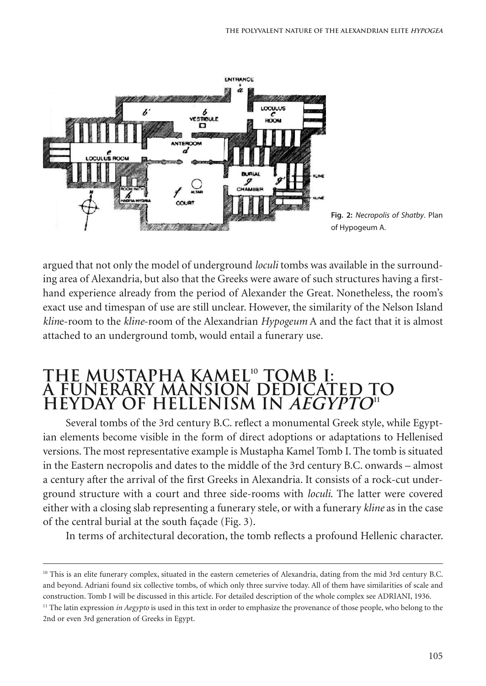

**Fig. 2:** *Necropolis of Shatby*. Plan of Hypogeum A.

argued that not only the model of underground *loculi* tombs was available in the surrounding area of Alexandria, but also that the Greeks were aware of such structures having a firsthand experience already from the period of Alexander the Great. Nonetheless, the room's exact use and timespan of use are still unclear. However, the similarity of the Nelson Island *klin*e-room to the *kline*-room of the Alexandrian *Hypogeum* A and the fact that it is almost attached to an underground tomb, would entail a funerary use.

# **THE MUSTAPHA KAMEL10 TOMB I: A FUNERARY MANSION DEDICATED TO HEYDAY OF HELLENISM IN AEGYPTO11 AEGYPTO**

Several tombs of the 3rd century B.C. reflect a monumental Greek style, while Egyptian elements become visible in the form of direct adoptions or adaptations to Hellenised versions. The most representative example is Mustapha Kamel Tomb I. The tomb is situated in the Eastern necropolis and dates to the middle of the 3rd century B.C. onwards – almost a century after the arrival of the first Greeks in Alexandria. It consists of a rock-cut underground structure with a court and three side-rooms with *loculi*. The latter were covered either with a closing slab representing a funerary stele, or with a funerary *kline* as in the case of the central burial at the south façade (Fig. 3).

In terms of architectural decoration, the tomb reflects a profound Hellenic character.

 $10$  This is an elite funerary complex, situated in the eastern cemeteries of Alexandria, dating from the mid 3rd century B.C. and beyond. Adriani found six collective tombs, of which only three survive today. All of them have similarities of scale and construction. Tomb I will be discussed in this article. For detailed description of the whole complex see ADRIANI, 1936.

<sup>&</sup>lt;sup>11</sup> The latin expression *in Aegypto* is used in this text in order to emphasize the provenance of those people, who belong to the 2nd or even 3rd generation of Greeks in Egypt.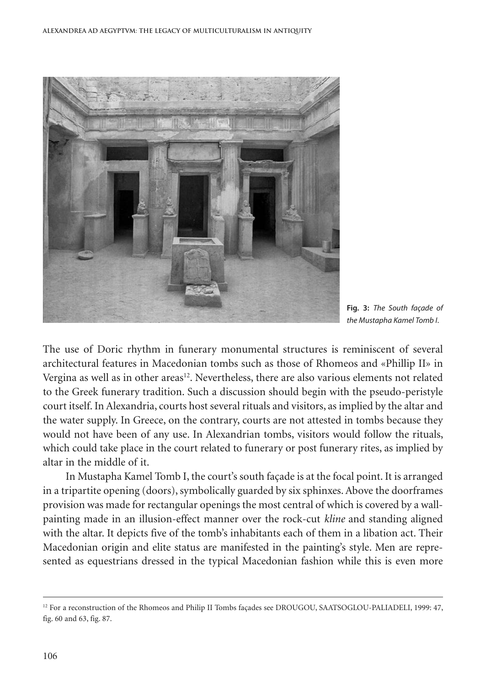

**Fig. 3:** *The South façade of the Mustapha Kamel Tomb I*.

The use of Doric rhythm in funerary monumental structures is reminiscent of several architectural features in Macedonian tombs such as those of Rhomeos and «Phillip II» in Vergina as well as in other areas<sup>12</sup>. Nevertheless, there are also various elements not related to the Greek funerary tradition. Such a discussion should begin with the pseudo-peristyle court itself.In Alexandria, courts host several rituals and visitors, as implied by the altar and the water supply. In Greece, on the contrary, courts are not attested in tombs because they would not have been of any use. In Alexandrian tombs, visitors would follow the rituals, which could take place in the court related to funerary or post funerary rites, as implied by altar in the middle of it.

In Mustapha Kamel Tomb I, the court's south façade is at the focal point. It is arranged in a tripartite opening (doors), symbolically guarded by six sphinxes. Above the doorframes provision was made for rectangular openings the most central of which is covered by a wallpainting made in an illusion-effect manner over the rock-cut *kline* and standing aligned with the altar. It depicts five of the tomb's inhabitants each of them in a libation act. Their Macedonian origin and elite status are manifested in the painting's style. Men are represented as equestrians dressed in the typical Macedonian fashion while this is even more

<sup>&</sup>lt;sup>12</sup> For a reconstruction of the Rhomeos and Philip II Tombs façades see DROUGOU, SAATSOGLOU-PALIADELI, 1999: 47, fig. 60 and 63, fig. 87.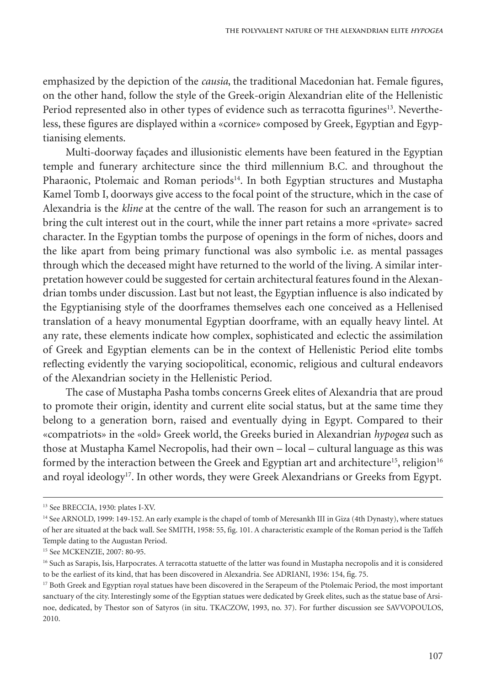emphasized by the depiction of the *causia*, the traditional Macedonian hat. Female figures, on the other hand, follow the style of the Greek-origin Alexandrian elite of the Hellenistic Period represented also in other types of evidence such as terracotta figurines<sup>13</sup>. Nevertheless, these figures are displayed within a «cornice» composed by Greek, Egyptian and Egyptianising elements.

Multi-doorway façades and illusionistic elements have been featured in the Egyptian temple and funerary architecture since the third millennium B.C. and throughout the Pharaonic, Ptolemaic and Roman periods<sup>14</sup>. In both Egyptian structures and Mustapha Kamel Tomb I, doorways give access to the focal point of the structure, which in the case of Alexandria is the *kline* at the centre of the wall. The reason for such an arrangement is to bring the cult interest out in the court, while the inner part retains a more «private» sacred character. In the Egyptian tombs the purpose of openings in the form of niches, doors and the like apart from being primary functional was also symbolic i.e. as mental passages through which the deceased might have returned to the world of the living. A similar interpretation however could be suggested for certain architectural features found in the Alexandrian tombs under discussion. Last but not least, the Egyptian influence is also indicated by the Egyptianising style of the doorframes themselves each one conceived as a Hellenised translation of a heavy monumental Egyptian doorframe, with an equally heavy lintel. At any rate, these elements indicate how complex, sophisticated and eclectic the assimilation of Greek and Egyptian elements can be in the context of Hellenistic Period elite tombs reflecting evidently the varying sociopolitical, economic, religious and cultural endeavors of the Alexandrian society in the Hellenistic Period.

The case of Mustapha Pasha tombs concerns Greek elites of Alexandria that are proud to promote their origin, identity and current elite social status, but at the same time they belong to a generation born, raised and eventually dying in Egypt. Compared to their «compatriots» in the «old» Greek world, the Greeks buried in Alexandrian *hypogea* such as those at Mustapha Kamel Necropolis, had their own – local – cultural language as this was formed by the interaction between the Greek and Egyptian art and architecture<sup>15</sup>, religion $^{16}$ and royal ideology<sup>17</sup>. In other words, they were Greek Alexandrians or Greeks from Egypt.

<sup>13</sup> See BRECCIA, 1930: plates I-XV.

<sup>&</sup>lt;sup>14</sup> See ARNOLD, 1999: 149-152. An early example is the chapel of tomb of Meresankh III in Giza (4th Dynasty), where statues of her are situated at the back wall. See SMITH, 1958: 55, fig. 101. A characteristic example of the Roman period is the Taffeh Temple dating to the Augustan Period.

<sup>15</sup> See MCKENZIE, 2007: 80-95.

<sup>&</sup>lt;sup>16</sup> Such as Sarapis, Isis, Harpocrates. A terracotta statuette of the latter was found in Mustapha necropolis and it is considered to be the earliest of its kind, that has been discovered in Alexandria. See ADRIANI, 1936: 154, fig. 75.

<sup>&</sup>lt;sup>17</sup> Both Greek and Egyptian royal statues have been discovered in the Serapeum of the Ptolemaic Period, the most important sanctuary of the city. Interestingly some of the Egyptian statues were dedicated by Greek elites, such as the statue base of Arsinoe, dedicated, by Thestor son of Satyros (in situ. TKACZOW, 1993, no. 37). For further discussion see SAVVOPOULOS, 2010.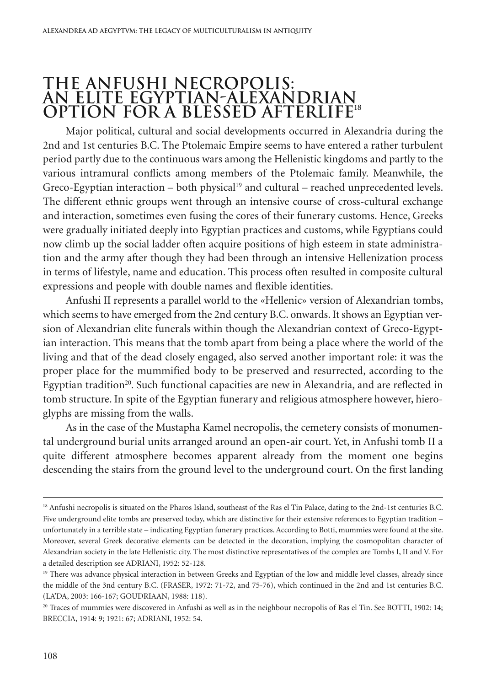# **THE ANFUSHI NECROPOLIS: AN ELITE EGYPTIAN-ALEXANDRIAN OPTION FOR A BLESSED AFTERLIFE18**

Major political, cultural and social developments occurred in Alexandria during the 2nd and 1st centuries B.C. The Ptolemaic Empire seems to have entered a rather turbulent period partly due to the continuous wars among the Hellenistic kingdoms and partly to the various intramural conflicts among members of the Ptolemaic family. Meanwhile, the Greco-Egyptian interaction – both physical<sup>19</sup> and cultural – reached unprecedented levels. The different ethnic groups went through an intensive course of cross-cultural exchange and interaction, sometimes even fusing the cores of their funerary customs. Hence, Greeks were gradually initiated deeply into Egyptian practices and customs, while Egyptians could now climb up the social ladder often acquire positions of high esteem in state administration and the army after though they had been through an intensive Hellenization process in terms of lifestyle, name and education. This process often resulted in composite cultural expressions and people with double names and flexible identities.

Anfushi II represents a parallel world to the «Hellenic» version of Alexandrian tombs, which seems to have emerged from the 2nd century B.C. onwards. It shows an Egyptian version of Alexandrian elite funerals within though the Alexandrian context of Greco-Egyptian interaction. This means that the tomb apart from being a place where the world of the living and that of the dead closely engaged, also served another important role: it was the proper place for the mummified body to be preserved and resurrected, according to the Egyptian tradition<sup>20</sup>. Such functional capacities are new in Alexandria, and are reflected in tomb structure. In spite of the Egyptian funerary and religious atmosphere however, hieroglyphs are missing from the walls.

As in the case of the Mustapha Kamel necropolis, the cemetery consists of monumental underground burial units arranged around an open-air court. Yet, in Anfushi tomb II a quite different atmosphere becomes apparent already from the moment one begins descending the stairs from the ground level to the underground court. On the first landing

<sup>&</sup>lt;sup>18</sup> Anfushi necropolis is situated on the Pharos Island, southeast of the Ras el Tin Palace, dating to the 2nd-1st centuries B.C. Five underground elite tombs are preserved today, which are distinctive for their extensive references to Egyptian tradition – unfortunately in a terrible state – indicating Egyptian funerary practices. According to Botti, mummies were found at the site. Moreover, several Greek decorative elements can be detected in the decoration, implying the cosmopolitan character of Alexandrian society in the late Hellenistic city. The most distinctive representatives of the complex are Tombs I, II and V. For a detailed description see ADRIANI, 1952: 52-128.

<sup>&</sup>lt;sup>19</sup> There was advance physical interaction in between Greeks and Egyptian of the low and middle level classes, already since the middle of the 3nd century B.C. (FRASER, 1972: 71-72, and 75-76), which continued in the 2nd and 1st centuries B.C. (LA'DA, 2003: 166-167; GOUDRIAAN, 1988: 118).

<sup>&</sup>lt;sup>20</sup> Traces of mummies were discovered in Anfushi as well as in the neighbour necropolis of Ras el Tin. See BOTTI, 1902: 14; BRECCIA, 1914: 9; 1921: 67; ADRIANI, 1952: 54.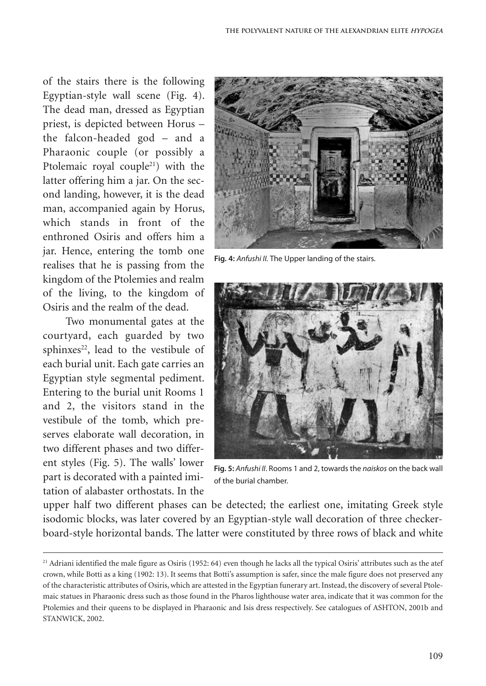of the stairs there is the following Egyptian-style wall scene (Fig. 4). The dead man, dressed as Egyptian priest, is depicted between Horus – the falcon-headed god – and a Pharaonic couple (or possibly a Ptolemaic royal couple<sup>21</sup>) with the latter offering him a jar. On the second landing, however, it is the dead man, accompanied again by Horus, which stands in front of the enthroned Osiris and offers him a jar. Hence, entering the tomb one realises that he is passing from the kingdom of the Ptolemies and realm of the living, to the kingdom of Osiris and the realm of the dead.

Two monumental gates at the courtyard, each guarded by two sphinxes<sup>22</sup>, lead to the vestibule of each burial unit. Each gate carries an Egyptian style segmental pediment. Entering to the burial unit Rooms 1 and 2, the visitors stand in the vestibule of the tomb, which preserves elaborate wall decoration, in two different phases and two different styles (Fig. 5). The walls' lower part is decorated with a painted imitation of alabaster orthostats. In the



**Fig. 4:** *Anfushi II.* The Upper landing of the stairs.



**Fig. 5:** *Anfushi II*. Rooms 1 and 2, towards the *naiskos* on the back wall of the burial chamber.

upper half two different phases can be detected; the earliest one, imitating Greek style isodomic blocks, was later covered by an Egyptian-style wall decoration of three checkerboard-style horizontal bands. The latter were constituted by three rows of black and white

<sup>&</sup>lt;sup>21</sup> Adriani identified the male figure as Osiris (1952: 64) even though he lacks all the typical Osiris' attributes such as the atef crown, while Botti as a king (1902: 13). It seems that Botti's assumption is safer, since the male figure does not preserved any of the characteristic attributes of Osiris,which are attested in the Egyptian funerary art.Instead, the discovery of several Ptolemaic statues in Pharaonic dress such as those found in the Pharos lighthouse water area, indicate that it was common for the Ptolemies and their queens to be displayed in Pharaonic and Isis dress respectively. See catalogues of ASHTON, 2001b and STANWICK, 2002.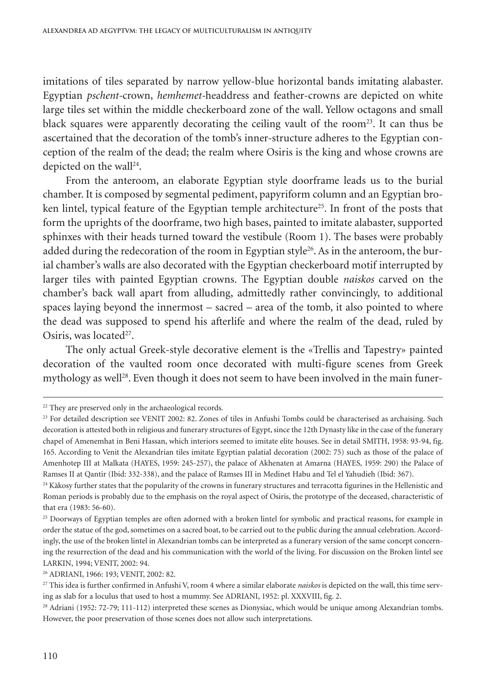imitations of tiles separated by narrow yellow-blue horizontal bands imitating alabaster. Egyptian *pschent-*crown, *hemhemet-*headdress and feather-crowns are depicted on white large tiles set within the middle checkerboard zone of the wall. Yellow octagons and small black squares were apparently decorating the ceiling vault of the room<sup>23</sup>. It can thus be ascertained that the decoration of the tomb's inner-structure adheres to the Egyptian conception of the realm of the dead; the realm where Osiris is the king and whose crowns are depicted on the wall 24 .

From the anteroom, an elaborate Egyptian style doorframe leads us to the burial chamber. It is composed by segmental pediment, papyriform column and an Egyptian broken lintel, typical feature of the Egyptian temple architecture<sup>25</sup>. In front of the posts that form the uprights of the doorframe, two high bases, painted to imitate alabaster, supported sphinxes with their heads turned toward the vestibule (Room 1). The bases were probably added during the redecoration of the room in Egyptian style<sup>26</sup>. As in the anteroom, the burial chamber's walls are also decorated with the Egyptian checkerboard motif interrupted by larger tiles with painted Egyptian crowns. The Egyptian double *naiskos* carved on the chamber's back wall apart from alluding, admittedly rather convincingly, to additional spaces laying beyond the innermost – sacred – area of the tomb, it also pointed to where the dead was supposed to spend his afterlife and where the realm of the dead, ruled by Osiris, was located<sup>27</sup>.

The only actual Greek-style decorative element is the «Trellis and Tapestry» painted decoration of the vaulted room once decorated with multi-figure scenes from Greek mythology as well 28 . Even though it does not seem to have been involved in the main funer-

<sup>&</sup>lt;sup>22</sup> They are preserved only in the archaeological records.

<sup>&</sup>lt;sup>23</sup> For detailed description see VENIT 2002: 82. Zones of tiles in Anfushi Tombs could be characterised as archaising. Such decoration is attested both in religious and funerary structures of Egypt, since the 12th Dynasty like in the case of the funerary chapel of Amenemhat in Beni Hassan, which interiors seemed to imitate elite houses. See in detail SMITH, 1958: 93-94, fig. 165. According to Venit the Alexandrian tiles imitate Egyptian palatial decoration (2002: 75) such as those of the palace of Amenhotep III at Malkata (HAYES, 1959: 245-257), the palace of Akhenaten at Amarna (HAYES, 1959: 290) the Palace of Ramses II at Qantir (Ibid: 332-338), and the palace of Ramses III in Medinet Habu and Tel el Yahudieh (Ibid: 367).

<sup>&</sup>lt;sup>24</sup> Kàkosy further states that the popularity of the crowns in funerary structures and terracotta figurines in the Hellenistic and Roman periods is probably due to the emphasis on the royal aspect of Osiris, the prototype of the deceased, characteristic of that era (1983: 56-60).

<sup>&</sup>lt;sup>25</sup> Doorways of Egyptian temples are often adorned with a broken lintel for symbolic and practical reasons, for example in order the statue of the god, sometimes on a sacred boat, to be carried out to the public during the annual celebration.Accordingly, the use of the broken lintel in Alexandrian tombs can be interpreted as a funerary version of the same concept concerning the resurrection of the dead and his communication with the world of the living. For discussion on the Broken lintel see LARKIN, 1994; VENIT, 2002: 94.

<sup>26</sup> ADRIANI, 1966: 193; VENIT, 2002: 82.

<sup>27</sup> This idea is further confirmed in Anfushi V, room 4 where a similar elaborate *naiskos* is depicted on the wall, this time serving as slab for a loculus that used to host a mummy. See ADRIANI, 1952: pl. XXXVIII, fig. 2.

<sup>&</sup>lt;sup>28</sup> Adriani (1952: 72-79; 111-112) interpreted these scenes as Dionysiac, which would be unique among Alexandrian tombs. However, the poor preservation of those scenes does not allow such interpretations.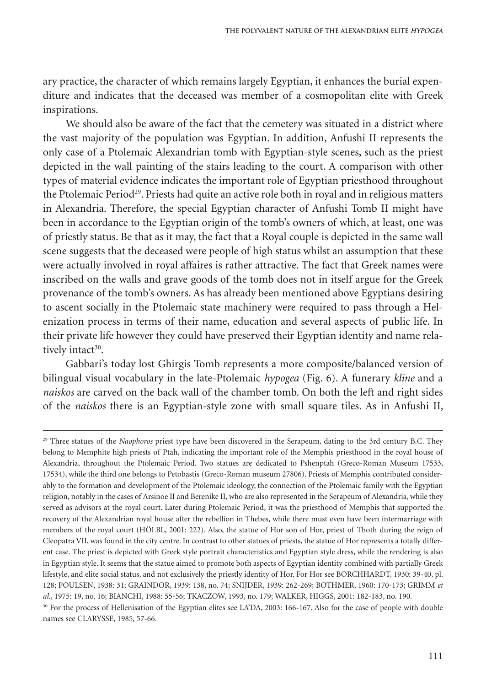ary practice, the character of which remains largely Egyptian, it enhances the burial expenditure and indicates that the deceased was member of a cosmopolitan elite with Greek inspirations.

We should also be aware of the fact that the cemetery was situated in a district where the vast majority of the population was Egyptian. In addition, Anfushi II represents the only case of a Ptolemaic Alexandrian tomb with Egyptian-style scenes, such as the priest depicted in the wall painting of the stairs leading to the court. A comparison with other types of material evidence indicates the important role of Egyptian priesthood throughout the Ptolemaic Period<sup>29</sup>. Priests had quite an active role both in royal and in religious matters in Alexandria. Therefore, the special Egyptian character of Anfushi Tomb II might have been in accordance to the Egyptian origin of the tomb's owners of which, at least, one was of priestly status. Be that as it may, the fact that a Royal couple is depicted in the same wall scene suggests that the deceased were people of high status whilst an assumption that these were actually involved in royal affaires is rather attractive. The fact that Greek names were inscribed on the walls and grave goods of the tomb does not in itself argue for the Greek provenance of the tomb's owners. As has already been mentioned above Egyptians desiring to ascent socially in the Ptolemaic state machinery were required to pass through a Helenization process in terms of their name, education and several aspects of public life. In their private life however they could have preserved their Egyptian identity and name relatively intact<sup>30</sup>.

Gabbari's today lost Ghirgis Tomb represents a more composite/balanced version of bilingual visual vocabulary in the late-Ptolemaic *hypogea* (Fig. 6). A funerary *kline* and a *naiskos* are carved on the back wall of the chamber tomb. On both the left and right sides of the *naiskos* there is an Egyptian-style zone with small square tiles. As in Anfushi II,

<sup>&</sup>lt;sup>29</sup> Three statues of the *Naophoros* priest type have been discovered in the Serapeum, dating to the 3rd century B.C. They belong to Memphite high priests of Ptah, indicating the important role of the Memphis priesthood in the royal house of Alexandria, throughout the Ptolemaic Period. Two statues are dedicated to Pshenptah (Greco-Roman Museum 17533, 17534), while the third one belongs to Petobastis (Greco-Roman museum 27806). Priests of Memphis contributed considerably to the formation and development of the Ptolemaic ideology, the connection of the Ptolemaic family with the Egyptian religion, notably in the cases of Arsinoe II and Berenike II, who are also represented in the Serapeum of Alexandria, while they served as advisors at the royal court. Later during Ptolemaic Period, it was the priesthood of Memphis that supported the recovery of the Alexandrian royal house after the rebellion in Thebes, while there must even have been intermarriage with members of the royal court (HÖLBL, 2001: 222). Also, the statue of Hor son of Hor, priest of Thoth during the reign of Cleopatra VII, was found in the city centre. In contrast to other statues of priests, the statue of Hor represents a totally different case. The priest is depicted with Greek style portrait characteristics and Egyptian style dress, while the rendering is also in Egyptian style. It seems that the statue aimed to promote both aspects of Egyptian identity combined with partially Greek lifestyle, and elite social status, and not exclusively the priestly identity of Hor. For Hor see BORCHHARDT, 1930: 39-40, pl. 128; POULSEN, 1938: 31; GRAINDOR, 1939: 138, no. 74; SNIJDER, 1939: 262-269; BOTHMER, 1960: 170-173; GRIMM *et al*., 1975: 19, no. 16; BIANCHI, 1988: 55-56; TKACZOW, 1993, no. 179; WALKER, HIGGS, 2001: 182-183, no. 190.

<sup>&</sup>lt;sup>30</sup> For the process of Hellenisation of the Egyptian elites see LA'DA, 2003: 166-167. Also for the case of people with double names see CLARYSSE, 1985, 57-66.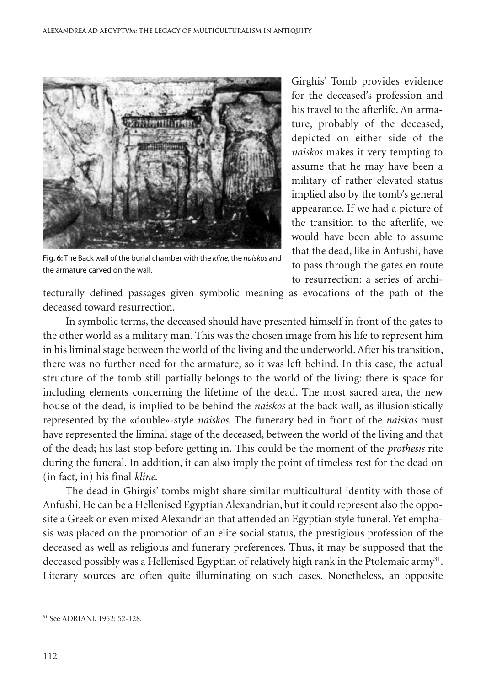

**Fig. 6:** The Back wall of the burial chamber with the *kline,*the *naiskos* and the armature carved on the wall.

Girghis' Tomb provides evidence for the deceased's profession and his travel to the afterlife. An armature, probably of the deceased, depicted on either side of the *naiskos* makes it very tempting to assume that he may have been a military of rather elevated status implied also by the tomb's general appearance. If we had a picture of the transition to the afterlife, we would have been able to assume that the dead, like in Anfushi, have to pass through the gates en route to resurrection: a series of archi-

tecturally defined passages given symbolic meaning as evocations of the path of the deceased toward resurrection.

In symbolic terms, the deceased should have presented himself in front of the gates to the other world as a military man. This was the chosen image from his life to represent him in his liminal stage between the world of the living and the underworld.After his transition, there was no further need for the armature, so it was left behind. In this case, the actual structure of the tomb still partially belongs to the world of the living: there is space for including elements concerning the lifetime of the dead. The most sacred area, the new house of the dead, is implied to be behind the *naiskos* at the back wall, as illusionistically represented by the «double»-style *naiskos*. The funerary bed in front of the *naiskos* must have represented the liminal stage of the deceased, between the world of the living and that of the dead; his last stop before getting in. This could be the moment of the *prothesis* rite during the funeral. In addition, it can also imply the point of timeless rest for the dead on (in fact, in) his final *kline*.

The dead in Ghirgis' tombs might share similar multicultural identity with those of Anfushi. He can be a Hellenised Egyptian Alexandrian, but it could represent also the opposite a Greek or even mixed Alexandrian that attended an Egyptian style funeral. Yet emphasis was placed on the promotion of an elite social status, the prestigious profession of the deceased as well as religious and funerary preferences. Thus, it may be supposed that the deceased possibly was a Hellenised Egyptian of relatively high rank in the Ptolemaic army<sup>31</sup>. Literary sources are often quite illuminating on such cases. Nonetheless, an opposite

<sup>31</sup> See ADRIANI, 1952: 52-128.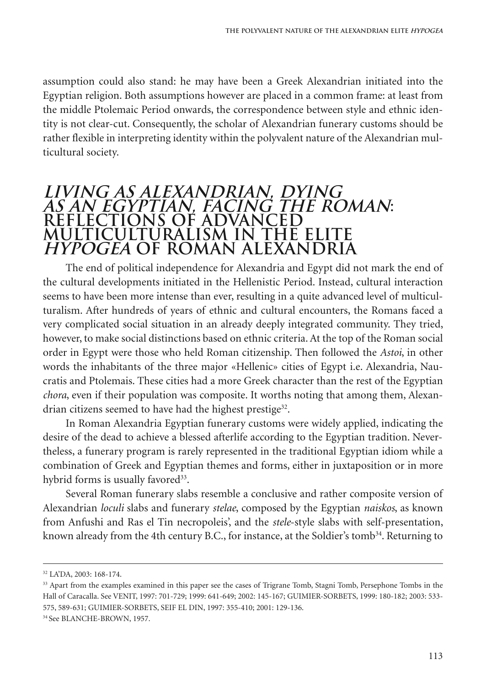assumption could also stand: he may have been a Greek Alexandrian initiated into the Egyptian religion. Both assumptions however are placed in a common frame: at least from the middle Ptolemaic Period onwards, the correspondence between style and ethnic identity is not clear-cut. Consequently, the scholar of Alexandrian funerary customs should be rather flexible in interpreting identity within the polyvalent nature of the Alexandrian multicultural society.

#### **LIVING AS ALEXANDRIAN, DYING** LIVING AS ALEXANDRIAN, DYING<br>AS AN EGYPTIAN, FACING THE ROMAN: **REFLECTIONS OF ADVANCED MULTICULTURALISM IN THE ELITE HYPOGEA OF ROMAN ALEXANDRIA HYPOGEA**

The end of political independence for Alexandria and Egypt did not mark the end of the cultural developments initiated in the Hellenistic Period. Instead, cultural interaction seems to have been more intense than ever, resulting in a quite advanced level of multiculturalism. After hundreds of years of ethnic and cultural encounters, the Romans faced a very complicated social situation in an already deeply integrated community. They tried, however, to make social distinctions based on ethnic criteria. At the top of the Roman social order in Egypt were those who held Roman citizenship. Then followed the *Astoi*, in other words the inhabitants of the three major «Hellenic» cities of Egypt i.e. Alexandria, Naucratis and Ptolemais. These cities had a more Greek character than the rest of the Egyptian *chora*, even if their population was composite. It worths noting that among them, Alexandrian citizens seemed to have had the highest prestige<sup>32</sup>.

In Roman Alexandria Egyptian funerary customs were widely applied, indicating the desire of the dead to achieve a blessed afterlife according to the Egyptian tradition. Nevertheless, a funerary program is rarely represented in the traditional Egyptian idiom while a combination of Greek and Egyptian themes and forms, either in juxtaposition or in more hybrid forms is usually favored<sup>33</sup>.

Several Roman funerary slabs resemble a conclusive and rather composite version of Alexandrian *loculi* slabs and funerary *stelae*, composed by the Egyptian *naiskos*, as known from Anfushi and Ras el Tin necropoleis', and the *stele*-style slabs with self-presentation, known already from the 4th century B.C., for instance, at the Soldier's tomb $^{34}$ . Returning to

<sup>32</sup> LA'DA, 2003: 168-174.

<sup>&</sup>lt;sup>33</sup> Apart from the examples examined in this paper see the cases of Trigrane Tomb, Stagni Tomb, Persephone Tombs in the Hall of Caracalla. See VENIT, 1997: 701-729; 1999: 641-649; 2002: 145-167; GUIMIER-SORBETS, 1999: 180-182; 2003: 533- 575, 589-631; GUIMIER-SORBETS, SEIF EL DIN, 1997: 355-410; 2001: 129-136.

<sup>34</sup> See BLANCHE-BROWN, 1957.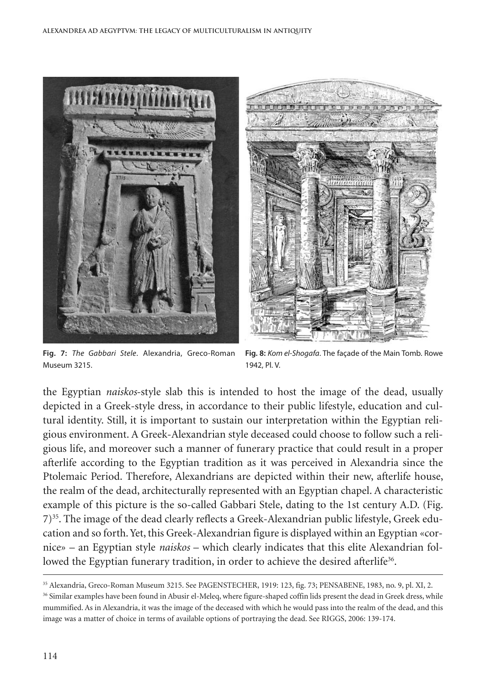

**Fig. 7:** *The Gabbari Stele*. Alexandria, Greco-Roman Museum 3215.

**Fig. 8:** *Kom el-Shogafa*. The façade of the Main Tomb. Rowe 1942, Pl. V.

the Egyptian *naiskos*-style slab this is intended to host the image of the dead, usually depicted in a Greek-style dress, in accordance to their public lifestyle, education and cultural identity. Still, it is important to sustain our interpretation within the Egyptian religious environment. A Greek-Alexandrian style deceased could choose to follow such a religious life, and moreover such a manner of funerary practice that could result in a proper afterlife according to the Egyptian tradition as it was perceived in Alexandria since the Ptolemaic Period. Therefore, Alexandrians are depicted within their new, afterlife house, the realm of the dead, architecturally represented with an Egyptian chapel. A characteristic example of this picture is the so-called Gabbari Stele, dating to the 1st century A.D. (Fig. 7)35 . The image of the dead clearly reflects a Greek-Alexandrian public lifestyle, Greek education and so forth.Yet, this Greek-Alexandrian figure is displayed within an Egyptian «cornice» – an Egyptian style *naiskos* – which clearly indicates that this elite Alexandrian followed the Egyptian funerary tradition, in order to achieve the desired afterlife<sup>36</sup>.

<sup>35</sup> Alexandria, Greco-Roman Museum 3215. See PAGENSTECHER, 1919: 123, fig. 73; PENSABENE, 1983, no. 9, pl. XI, 2.

<sup>&</sup>lt;sup>36</sup> Similar examples have been found in Abusir el-Meleq, where figure-shaped coffin lids present the dead in Greek dress, while mummified. As in Alexandria, it was the image of the deceased with which he would pass into the realm of the dead, and this image was a matter of choice in terms of available options of portraying the dead. See RIGGS, 2006: 139-174.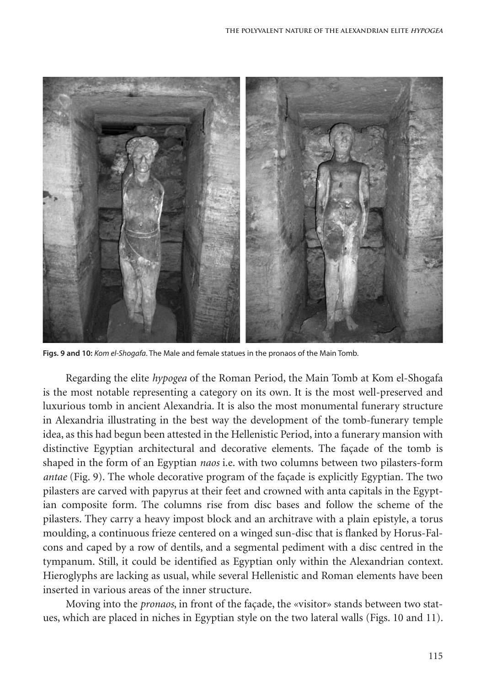

**Figs. 9 and 10:** *Kom el-Shogafa*. The Male and female statues in the pronaos of the Main Tomb.

Regarding the elite *hypogea* of the Roman Period, the Main Tomb at Kom el-Shogafa is the most notable representing a category on its own. It is the most well-preserved and luxurious tomb in ancient Alexandria. It is also the most monumental funerary structure in Alexandria illustrating in the best way the development of the tomb-funerary temple idea, as this had begun been attested in the Hellenistic Period, into a funerary mansion with distinctive Egyptian architectural and decorative elements. The façade of the tomb is shaped in the form of an Egyptian *naos* i.e. with two columns between two pilasters-form *antae* (Fig. 9). The whole decorative program of the façade is explicitly Egyptian. The two pilasters are carved with papyrus at their feet and crowned with anta capitals in the Egyptian composite form. The columns rise from disc bases and follow the scheme of the pilasters. They carry a heavy impost block and an architrave with a plain epistyle, a torus moulding, a continuous frieze centered on a winged sun-disc that is flanked by Horus-Falcons and caped by a row of dentils, and a segmental pediment with a disc centred in the tympanum. Still, it could be identified as Egyptian only within the Alexandrian context. Hieroglyphs are lacking as usual, while several Hellenistic and Roman elements have been inserted in various areas of the inner structure.

Moving into the *pronaos*, in front of the façade, the «visitor» stands between two statues, which are placed in niches in Egyptian style on the two lateral walls (Figs. 10 and 11).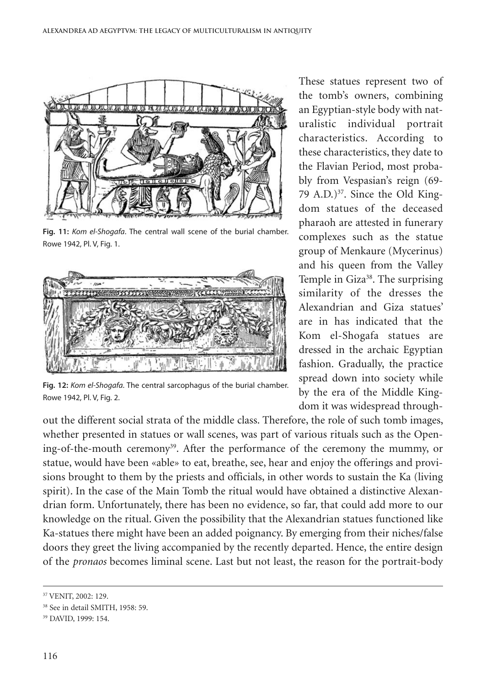

**Fig. 11:** *Kom el-Shogafa*. The central wall scene of the burial chamber. Rowe 1942, Pl. V, Fig. 1.



**Fig. 12:** *Kom el-Shogafa*. The central sarcophagus of the burial chamber. Rowe 1942, Pl. V, Fig. 2.

out the different social strata of the middle class. Therefore, the role of such tomb images, whether presented in statues or wall scenes, was part of various rituals such as the Opening-of-the-mouth ceremony<sup>39</sup>. After the performance of the ceremony the mummy, or statue, would have been «able» to eat, breathe, see, hear and enjoy the offerings and provisions brought to them by the priests and officials, in other words to sustain the Ka (living spirit). In the case of the Main Tomb the ritual would have obtained a distinctive Alexandrian form. Unfortunately, there has been no evidence, so far, that could add more to our knowledge on the ritual. Given the possibility that the Alexandrian statues functioned like Ka-statues there might have been an added poignancy. By emerging from their niches/false doors they greet the living accompanied by the recently departed. Hence, the entire design of the *pronaos* becomes liminal scene. Last but not least, the reason for the portrait-body

These statues represent two of the tomb's owners, combining an Egyptian-style body with naturalistic individual portrait characteristics. According to these characteristics, they date to the Flavian Period, most probably from Vespasian's reign (69- 79 A.D.) $37$ . Since the Old Kingdom statues of the deceased pharaoh are attested in funerary complexes such as the statue group of Menkaure (Mycerinus) and his queen from the Valley Temple in Giza<sup>38</sup>. The surprising similarity of the dresses the Alexandrian and Giza statues' are in has indicated that the Kom el-Shogafa statues are dressed in the archaic Egyptian fashion. Gradually, the practice spread down into society while by the era of the Middle Kingdom it was widespread through-

<sup>37</sup> VENIT, 2002: 129.

<sup>38</sup> See in detail SMITH, 1958: 59.

<sup>39</sup> DAVID, 1999: 154.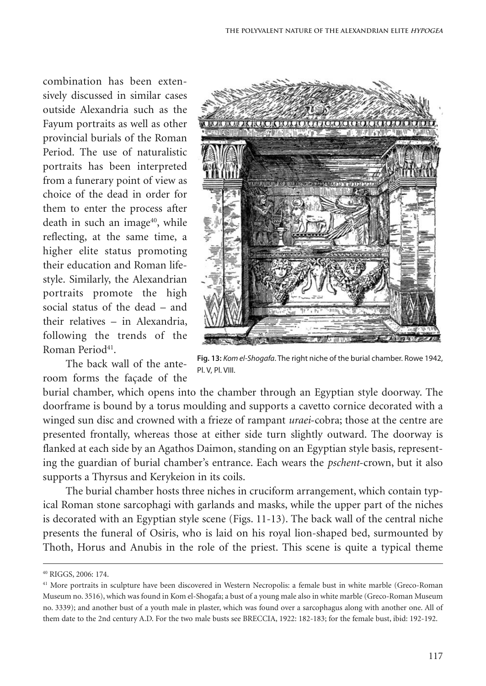combination has been extensively discussed in similar cases outside Alexandria such as the Fayum portraits as well as other provincial burials of the Roman Period. The use of naturalistic portraits has been interpreted from a funerary point of view as choice of the dead in order for them to enter the process after death in such an image<sup>40</sup>, while reflecting, at the same time, a higher elite status promoting their education and Roman lifestyle. Similarly, the Alexandrian portraits promote the high social status of the dead – and their relatives – in Alexandria, following the trends of the Roman Period<sup>41</sup>.

The back wall of the anteroom forms the façade of the



**Fig. 13:** *Kom el-Shogafa*. The right niche of the burial chamber. Rowe 1942, Pl. V, Pl. VIII.

burial chamber, which opens into the chamber through an Egyptian style doorway. The doorframe is bound by a torus moulding and supports a cavetto cornice decorated with a winged sun disc and crowned with a frieze of rampant *uraei*-cobra; those at the centre are presented frontally, whereas those at either side turn slightly outward. The doorway is flanked at each side by an Agathos Daimon, standing on an Egyptian style basis, representing the guardian of burial chamber's entrance. Each wears the *pschent*-crown, but it also supports a Thyrsus and Kerykeion in its coils.

The burial chamber hosts three niches in cruciform arrangement, which contain typical Roman stone sarcophagi with garlands and masks, while the upper part of the niches is decorated with an Egyptian style scene (Figs. 11-13). The back wall of the central niche presents the funeral of Osiris, who is laid on his royal lion-shaped bed, surmounted by Thoth, Horus and Anubis in the role of the priest. This scene is quite a typical theme

<sup>40</sup> RIGGS, 2006: 174.

<sup>&</sup>lt;sup>41</sup> More portraits in sculpture have been discovered in Western Necropolis: a female bust in white marble (Greco-Roman Museum no. 3516), which was found in Kom el-Shogafa; a bust of a young male also in white marble (Greco-Roman Museum no. 3339); and another bust of a youth male in plaster, which was found over a sarcophagus along with another one. All of them date to the 2nd century A.D. For the two male busts see BRECCIA, 1922: 182-183; for the female bust, ibid: 192-192.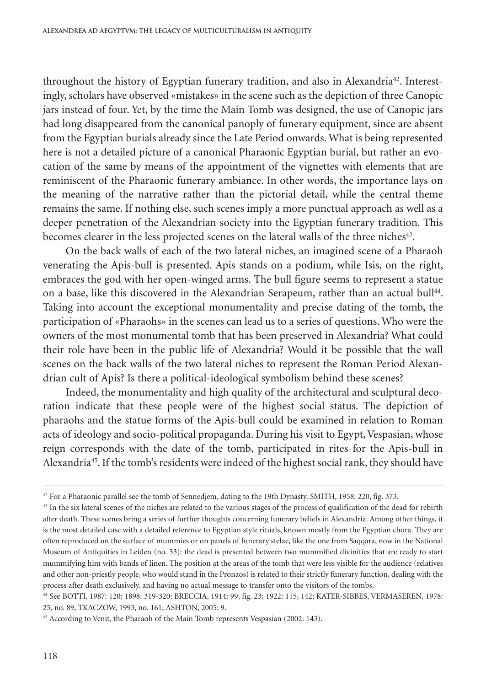throughout the history of Egyptian funerary tradition, and also in Alexandria<sup>42</sup>. Interestingly, scholars have observed «mistakes» in the scene such as the depiction of three Canopic jars instead of four. Yet, by the time the Main Tomb was designed, the use of Canopic jars had long disappeared from the canonical panoply of funerary equipment, since are absent from the Egyptian burials already since the Late Period onwards. What is being represented here is not a detailed picture of a canonical Pharaonic Egyptian burial, but rather an evocation of the same by means of the appointment of the vignettes with elements that are reminiscent of the Pharaonic funerary ambiance. In other words, the importance lays on the meaning of the narrative rather than the pictorial detail, while the central theme remains the same. If nothing else, such scenes imply a more punctual approach as well as a deeper penetration of the Alexandrian society into the Egyptian funerary tradition. This becomes clearer in the less projected scenes on the lateral walls of the three niches<sup>43</sup>.

On the back walls of each of the two lateral niches, an imagined scene of a Pharaoh venerating the Apis-bull is presented. Apis stands on a podium, while Isis, on the right, embraces the god with her open-winged arms. The bull figure seems to represent a statue on a base, like this discovered in the Alexandrian Serapeum, rather than an actual bull 44 . Taking into account the exceptional monumentality and precise dating of the tomb, the participation of «Pharaohs» in the scenes can lead us to a series of questions. Who were the owners of the most monumental tomb that has been preserved in Alexandria? What could their role have been in the public life of Alexandria? Would it be possible that the wall scenes on the back walls of the two lateral niches to represent the Roman Period Alexandrian cult of Apis? Is there a political-ideological symbolism behind these scenes?

Indeed, the monumentality and high quality of the architectural and sculptural decoration indicate that these people were of the highest social status. The depiction of pharaohs and the statue forms of the Apis-bull could be examined in relation to Roman acts of ideology and socio-political propaganda. During his visit to Egypt, Vespasian, whose reign corresponds with the date of the tomb, participated in rites for the Apis-bull in Alexandria45 .If the tomb's residents were indeed of the highest social rank, they should have

<sup>42</sup> For a Pharaonic parallel see the tomb of Sennedjem, dating to the 19th Dynasty. SMITH, 1958: 220, fig. 373.

<sup>&</sup>lt;sup>43</sup> In the six lateral scenes of the niches are related to the various stages of the process of qualification of the dead for rebirth after death. These scenes bring a series of further thoughts concerning funerary beliefs in Alexandria. Among other things, it is the most detailed case with a detailed reference to Egyptian style rituals, known mostly from the Egyptian chora. They are often reproduced on the surface of mummies or on panels of funerary stelae, like the one from Saqqara, now in the National Museum of Antiquities in Leiden (no. 33): the dead is presented between two mummified divinities that are ready to start mummifying him with bands of linen. The position at the areas of the tomb that were less visible for the audience (relatives and other non-priestly people, who would stand in the Pronaos) is related to their strictly funerary function, dealing with the process after death exclusively, and having no actual message to transfer onto the visitors of the tombs.

<sup>44</sup> See BOTTI, 1987: 120; 1898: 319-320; BRECCIA, 1914: 99, fig. 23; 1922: 115, 142; KATER-SIBBES, VERMASEREN, 1978: 25, no. 89, TKACZOW, 1993, no. 161; ASHTON, 2005: 9.

<sup>&</sup>lt;sup>45</sup> According to Venit, the Pharaoh of the Main Tomb represents Vespasian (2002: 143).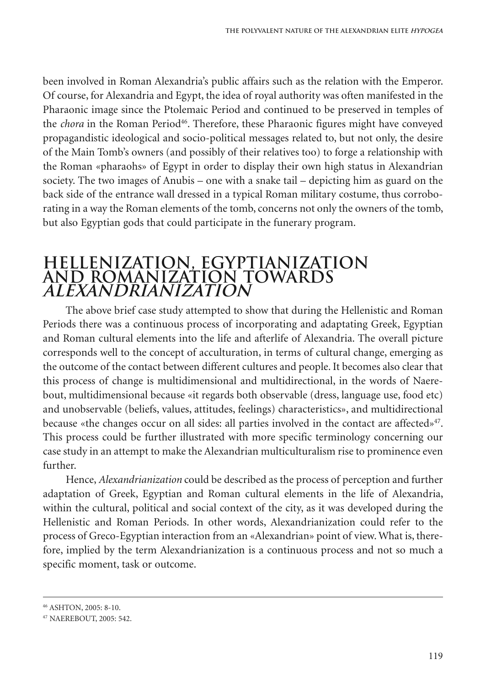been involved in Roman Alexandria's public affairs such as the relation with the Emperor. Of course, for Alexandria and Egypt, the idea of royal authority was often manifested in the Pharaonic image since the Ptolemaic Period and continued to be preserved in temples of the *chora* in the Roman Period<sup>46</sup>. Therefore, these Pharaonic figures might have conveyed propagandistic ideological and socio-political messages related to, but not only, the desire of the Main Tomb's owners (and possibly of their relatives too) to forge a relationship with the Roman «pharaohs» of Egypt in order to display their own high status in Alexandrian society. The two images of Anubis – one with a snake tail – depicting him as guard on the back side of the entrance wall dressed in a typical Roman military costume, thus corroborating in a way the Roman elements of the tomb, concerns not only the owners of the tomb, but also Egyptian gods that could participate in the funerary program.

## **HELLENIZATION, EGYPTIANIZATION AND ROMANIZATION TOWARDS ALEXANDRIANISATION ALEXANDRIANIzATION**

The above brief case study attempted to show that during the Hellenistic and Roman Periods there was a continuous process of incorporating and adaptating Greek, Egyptian and Roman cultural elements into the life and afterlife of Alexandria. The overall picture corresponds well to the concept of acculturation, in terms of cultural change, emerging as the outcome of the contact between different cultures and people. It becomes also clear that this process of change is multidimensional and multidirectional, in the words of Naerebout, multidimensional because «it regards both observable (dress, language use, food etc) and unobservable (beliefs, values, attitudes, feelings) characteristics», and multidirectional because «the changes occur on all sides: all parties involved in the contact are affected»<sup>47</sup>. This process could be further illustrated with more specific terminology concerning our case study in an attempt to make the Alexandrian multiculturalism rise to prominence even further.

Hence, *Alexandrianization* could be described as the process of perception and further adaptation of Greek, Egyptian and Roman cultural elements in the life of Alexandria, within the cultural, political and social context of the city, as it was developed during the Hellenistic and Roman Periods. In other words, Alexandrianization could refer to the process of Greco-Egyptian interaction from an «Alexandrian» point of view.What is, therefore, implied by the term Alexandrianization is a continuous process and not so much a specific moment, task or outcome.

<sup>46</sup> ASHTON, 2005: 8-10.

<sup>47</sup> NAEREBOUT, 2005: 542.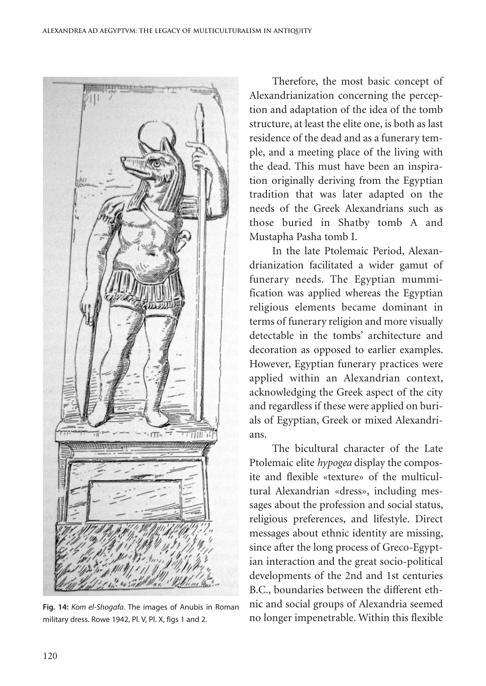

**Fig. 14:** *Kom el-Shogafa*. The images of Anubis in Roman military dress. Rowe 1942, Pl. V, Pl. X, figs 1 and 2.

Therefore, the most basic concept of Alexandrianization concerning the perception and adaptation of the idea of the tomb structure, at least the elite one, is both as last residence of the dead and as a funerary temple, and a meeting place of the living with the dead. This must have been an inspiration originally deriving from the Egyptian tradition that was later adapted on the needs of the Greek Alexandrians such as those buried in Shatby tomb A and Mustapha Pasha tomb I.

In the late Ptolemaic Period, Alexandrianization facilitated a wider gamut of funerary needs. The Egyptian mummification was applied whereas the Egyptian religious elements became dominant in terms of funerary religion and more visually detectable in the tombs' architecture and decoration as opposed to earlier examples. However, Egyptian funerary practices were applied within an Alexandrian context, acknowledging the Greek aspect of the city and regardless if these were applied on burials of Egyptian, Greek or mixed Alexandrians.

The bicultural character of the Late Ptolemaic elite *hypogea* display the composite and flexible «texture» of the multicultural Alexandrian «dress», including messages about the profession and social status, religious preferences, and lifestyle. Direct messages about ethnic identity are missing, since after the long process of Greco-Egyptian interaction and the great socio-political developments of the 2nd and 1st centuries B.C., boundaries between the different ethnic and social groups of Alexandria seemed no longer impenetrable. Within this flexible